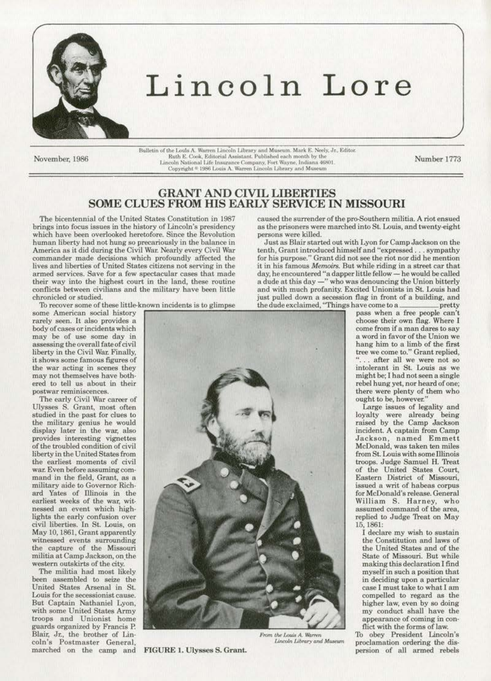

# Lincoln Lore

November, 1986

 $\begin{minipage}[c]{0.9\textwidth} \begin{tabular}{p{0.8cm}} \textbf{Bulletin of the Louis A. Warren Lincoln Library and Museum. Mark E. Neely, Jr., Editor. \end{tabular} \end{minipage} \begin{minipage}[c]{0.9\textwidth} \begin{tabular}{p{0.8cm}} \textbf{Bultor} & \textbf{Bultor} & \textbf{Bultor} \\ \textbf{Bitor} & \textbf{Butor} \\ \textbf{Bitor} & \textbf{Butor} \\ \textbf{Butor} & \textbf{Butor} \\ \end{tabular} \end{minipage} \begin{minipage}[c]{0.9\textwidth} \begin{tabular}{p{0.8$ 

Number 1773

## **GRANT AND CIVIL LIBERTIES SOME CLUES FROM HIS EARLY SERVICE IN MISSOURI**

The bicentennial of the United States Constitution in 1987 brings into focus issues in the history of Lincoln's presidency which have been overlooked heretofore. Since the Revolution human liberty had not hung so precariously in the balance in America as it did during the Civil War. Nearly every Civil War commander made decisions which profoundly affected the lives and liberties of United States citizens not serving in the armed services. Save for a few spectacular cases that made their way into the highest court in the land, these routine conflicts between civilians and the military have been little chronicled or studied.

To recover some of these little-known incidents is to glimpse

some American social history rarely seen. It also provides a body of cases or incidents which may be of use some day in assessing the overall fate of civil liberty in the Civil War. Finally, it shows some famous figures of the war acting in scenes they may not themselves have bothered to tell us about in their postwar reminiscences.

The early Civil War career of Ulysses S. Grant, most often studied in the past for clues to the military genius he would<br>display later in the war, also provides interesting vignettes of the troubled condition of civil liberty in the United States from the earliest moments of civil war. Even before assuming command in the field, Grant, as a military aide to Governor Richard Yates of Illinois in the earliest weeks of the war, witnessed an event which highlights the early confusion over civil liberties. In St. Louis, on May 10, 1861, Grant apparently witnessed events surrounding the capture of the Missouri militia at Camp Jackson, on the western outskirts of the city.

The militia had most likely been assembled to seize the United States Arsenal in St. Louis for the secessionist cause. But Captain Nathaniel Lyon, with some United States Army troops and Unionist home guards organized by Francis P. Blair, Jr., the brother of Lincoln's Postmaster General, marched on the camp and FIGURE 1. Ulysses S. Grant.



From the Louis A. Warren Lincoln Library and Museum

caused the surrender of the pro-Southern militia. A riot ensued as the prisoners were marched into St. Louis, and twenty-eight persons were killed.

Just as Blair started out with Lyon for Camp Jackson on the tenth, Grant introduced himself and "expressed... sympathy for his purpose." Grant did not see the riot nor did he mention it in his famous Memoirs. But while riding in a street car that day, he encountered "a dapper little fellow — he would be called<br>a dude at this day —" who was denouncing the Union bitterly and with much profanity. Excited Unionists in St. Louis had pretty.

pass when a free people can't choose their own flag. Where I come from if a man dares to say a word in favor of the Union we hang him to a limb of the first tree we come to." Grant replied, . after all we were not so intolerant in St. Louis as we might be; I had not seen a single rebel hung yet, nor heard of one; there were plenty of them who<br>ought to be, however."

Large issues of legality and loyalty were already being raised by the Camp Jackson incident. A captain from Camp Jackson, named Emmett<br>McDonald, was taken ten miles from St. Louis with some Illinois troops. Judge Samuel H. Treat of the United States Court, Eastern District of Missouri, issued a writ of habeas corpus for McDonald's release. General William S. Harney, who assumed command of the area, replied to Judge Treat on May 15, 1861:

I declare my wish to sustain the Constitution and laws of the United States and of the State of Missouri. But while making this declaration I find myself in such a position that in deciding upon a particular case I must take to what I am compelled to regard as the higher law, even by so doing my conduct shall have the appearance of coming in conflict with the forms of law.

To obey President Lincoln's proclamation ordering the dispersion of all armed rebels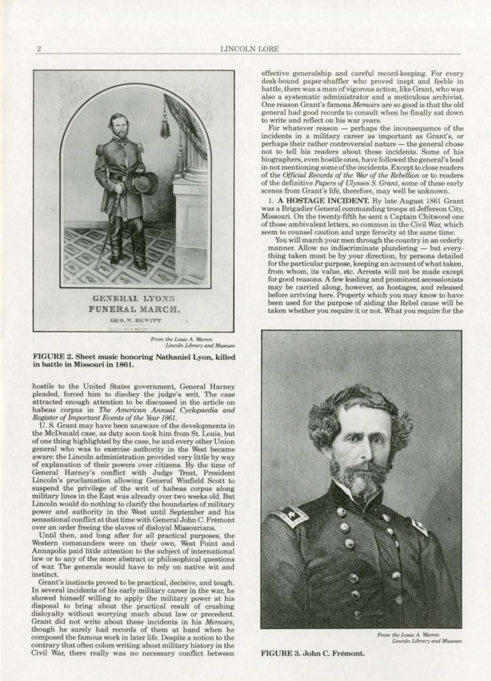

FIGURE 2. Sheet music honoring Nathaniel Lyon, killed *in* battle *in* Missouri *in* 1861.

hostile to the United States government, General Harney pleaded, forced him to disobey the judge's writ. The case<br>attracted enough attention to be discussed in the article on habeas corpus in The American Annual Cyclopaedia and *Register of lmpartont Events of the Yew* 1861.

U.S. Grant may have been unaware of the developments in the McDonald case, as duty soon took him from St. Louis, but of one thing highlighted by the case, he and every other Union general who was to exercise authority in the West became aware: the Lincoln administration provided very little by way of explanation of their powers over citizens. By the time of General Harney's conflict with Judge Treat, President Lincoln's proclamation allowing General Winfield Scott to suspend the privilege of the writ of habeas corpus along military lines in the East was already over two weeks old. But Lincoln would do nothing to clarify the boundaries of military power and authority in the West until September and his sensational conflict at that time with General John C. Fremont over an order freeing the slaves of disloya1 Missourians.

Until then, and long after for all practical purposes, the Western commanders were on their own. West Point and Annapolis paid little attention to the subject of international law or to any of the more abstract or philosophical questions of war. The generals would have to rely on native wit and instinct..

Grant's instincts proved to be practical, decisive., and tough. In several incidents of his early military career in the war, he showed himself willing to apply the military power at his disposal to bring about the practical result of crushing disloyalty without worrying much about law or precedent. Grant did not write about these incidents in his *Memoirs*, though he surely had records of them at hand when he composed the famous work in later life. Despite a notion to the contrary that often colors writing about military history in the Civil War, there really was no necesaary conflict between effective generaJship and careful record-keeping. For every desk-bound paper-shuffler who proved inept and feeble in battle, there was a man of vigorous action, like Grant, who was also a systematic administrator and a meticulous archivist. One reason Grant's famous Memoirs are so good is that the old general had good records to consult when he finally sat down to write and reflect on his war years.

For whatever reason  $-$  perhaps the inconsequence of the incidents in a military career as important as Grant's, or perhaps their rather controversial nature - the general chose not to tell his readers about these incidents. Some or his biographers, even hostile ones, have followed the general's lead in not mentioning some of the incidents. Except to close readers of the *Official Records of the War of the Rebellion* or to readers of the definitive *Papers of Ulysses S. Grant*, some of these early scenes from Grant's life, therefore, may well be unknown.

1. A HOSTAGE INCIDENT. By late August 1861 Grant was a Brigadier General commanding troops at Jefferson City. Missouri. On the twenty-fifth he sent a Captain Chitwood one of those ambivalent letters, so common in the Civil War, which seem to counsel caution and urge ferocity at the same time:<br>You will march your men through the country in an orderly

manner. Allow no indiscriminate plundering - but everything taken must be by your direction, by persons detailed for the particular purpose, keeping an account of what taken. from whom, its value, etc. Arrests will not be made except for good reasons. A few leading and prominent secessionists may be carried along, however, as hostages, and released before arriving here. Property which you may know to have been used for the purpose of aiding the Rebel cause will be taken whether you require it or not. What you require for the



From the Louis A. Warren Lincoln Library and Museum

FIGURE 3. John C. Fremont.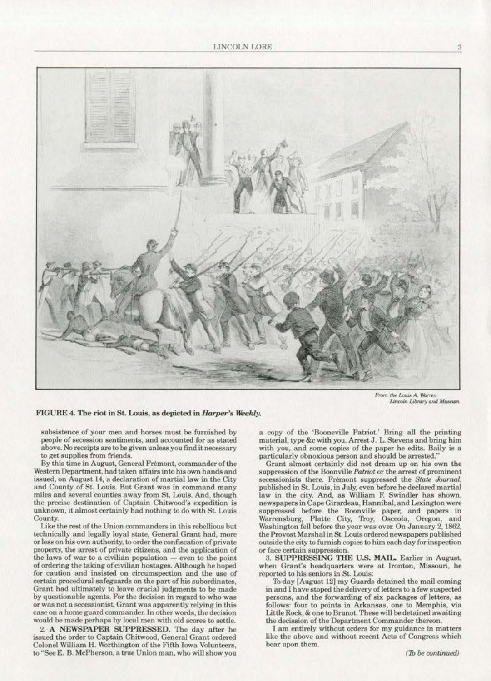

 $\frac{1}{2}$  *From the Louis A. Warren* Lincoln Library and Museum

#### FIGURE 4. The riot in St. Louis, as depicted in *Harper's Weekly*.

**subsistence of your men and horses must be furnished by people of secession sentiments, and accounted for as stated above. No receipts are to be given unless you find it necessary**  to get supplies from friends.

By this time in August, General Fremont, commander of the Western Department, had taken affairs into his own hands and issued, on August 14, a declaration of martial law in the City **and County of St. Louis. But. Grant was in command many**  miles and several counties away from St. Louis. And, though **the precise destination of Captain Chitwood's expedition is**  unknown, it almost certainly had nothing to do with St. Louis County.

**Uke the rest of the Union commanders in this rebellious but**  technically and legally loyal state, General Grant had, more or less on his own authority, to order the confiscation of private **property, the arrest of private citizens, and lhe application of**  the laws of war to a civilian population - even to the point of ordering the taking of civilian hostages. Although he hoped **for caution and insisted on circumspection and the use of**  certain procedural safeguards on the part of his subordinates, Grant had ultimately to leave crucial judgments to be made **by questionable agents. For the decision in regard to who was or was not. a secessionjst, Grant was apparently relying in this case on a home guard oommander. ln other words, the decision**  would be made perhaps by local men with old scores to settle.

2. A NEWSPAPER SUPPRESSED. The day after he issued the order to Captain Chitwood, General Grant ordered **Colonel William H. Worthington of the Fifth Iowa Volunteers, to "See E. B. McPherson, a true Union man, who will show you** 

a copy of the 'Booneville PatrioL' Bring all the printing material, type &c with you. Arrest J. L. Stevens and bring him with you, and some copies of the paper be edits. Baily is a particularly obnoxious person and should be arrested."

Grant almost oortainly did not dream up on his own the **suppression of the Boonville** *Patriot* **or the arrest of prominent secessionists there. Fremont suppressed the** *State Journal,*  published in SL Louis, in July, even before he declared martial law in the city. And. as William F. Swindler has shown, **newspapers in Cape Girardeau, Hannibal, and Lexington were**  suppressed before the Boonville paper, and papers in Warrensburg, Platte City, Troy, Osceola, Oregon, and Washington fell before the year was ove< On January 2, 1862, the ProvostMarsbal in St. Louis ordered newspapers published **outside the city to (urn ish copies to him each day for inspection or face certain suppression.** 

3. SUPPRESSING THE U.S. MAIL. Earlier in August, **when Grant's headquarters were at Ironton, Missouri, he reported to his seniors in St.. Louis:** 

'Jb.day [August 12] my Guards detained the mail coming in and I have stoped the delivery of letters to a few suspected persons, and the forwarding of six packages of letters, as follows: four to points in Arkansas, one to Memphis, via. Little Rock, & one to Brunot. These will be detained awaiting the decission of the Department Commander thereon.

( **am entirely without orders for my guidance in matters**  like the above and without recent Acts of Congress which **bear upon them.**